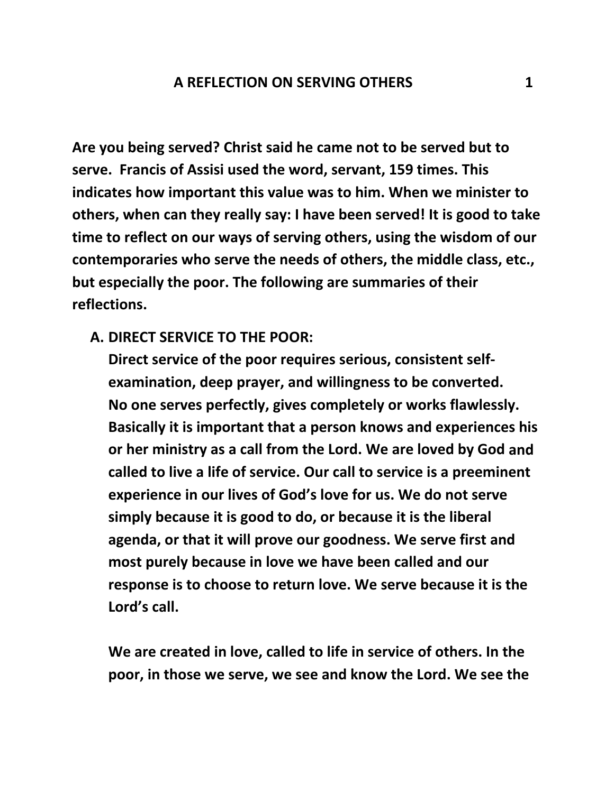**Are you being served? Christ said he came not to be served but to serve. Francis of Assisi used the word, servant, 159 times. This indicates how important this value was to him. When we minister to others, when can they really say: I have been served! It is good to take time to reflect on our ways of serving others, using the wisdom of our contemporaries who serve the needs of others, the middle class, etc., but especially the poor. The following are summaries of their reflections.**

## **A. DIRECT SERVICE TO THE POOR:**

**Direct service of the poor requires serious, consistent self‐ examination, deep prayer, and willingness to be converted. No one serves perfectly, gives completely or works flawlessly. Basically it is important that a person knows and experiences his or her ministry as a call from the Lord. We are loved by God and called to live a life of service. Our call to service is a preeminent experience in our lives of God's love for us. We do not serve simply because it is good to do, or because it is the liberal agenda, or that it will prove our goodness. We serve first and most purely because in love we have been called and our response is to choose to return love. We serve because it is the Lord's call.**

**We are created in love, called to life in service of others. In the poor, in those we serve, we see and know the Lord. We see the**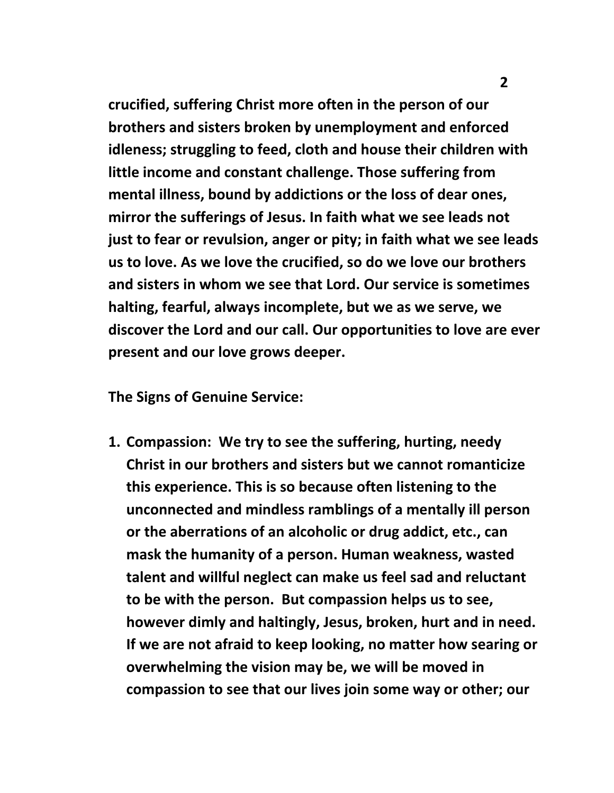**crucified, suffering Christ more often in the person of our brothers and sisters broken by unemployment and enforced idleness; struggling to feed, cloth and house their children with little income and constant challenge. Those suffering from mental illness, bound by addictions or the loss of dear ones, mirror the sufferings of Jesus. In faith what we see leads not just to fear or revulsion, anger or pity; in faith what we see leads us to love. As we love the crucified, so do we love our brothers and sisters in whom we see that Lord. Our service is sometimes halting, fearful, always incomplete, but we as we serve, we discover the Lord and our call. Our opportunities to love are ever present and our love grows deeper.**

**The Signs of Genuine Service:**

**1. Compassion: We try to see the suffering, hurting, needy Christ in our brothers and sisters but we cannot romanticize this experience. This is so because often listening to the unconnected and mindless ramblings of a mentally ill person or the aberrations of an alcoholic or drug addict, etc., can mask the humanity of a person. Human weakness, wasted talent and willful neglect can make us feel sad and reluctant to be with the person. But compassion helps us to see, however dimly and haltingly, Jesus, broken, hurt and in need. If we are not afraid to keep looking, no matter how searing or overwhelming the vision may be, we will be moved in compassion to see that our lives join some way or other; our**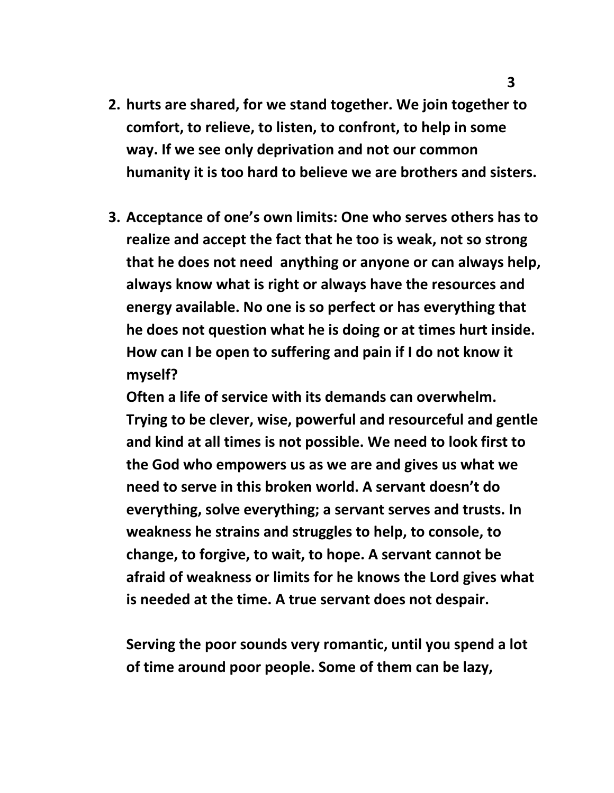- **2. hurts are shared, for we stand together. We join together to comfort, to relieve, to listen, to confront, to help in some way. If we see only deprivation and not our common humanity it is too hard to believe we are brothers and sisters.**
- **3. Acceptance of one's own limits: One who serves others has to realize and accept the fact that he too is weak, not so strong that he does not need anything or anyone or can always help, always know what is right or always have the resources and energy available. No one is so perfect or has everything that he does not question what he is doing or at times hurt inside. How can I be open to suffering and pain if I do not know it myself?**

**Often a life of service with its demands can overwhelm. Trying to be clever, wise, powerful and resourceful and gentle and kind at all times is not possible. We need to look first to the God who empowers us as we are and gives us what we need to serve in this broken world. A servant doesn't do everything, solve everything; a servant serves and trusts. In weakness he strains and struggles to help, to console, to change, to forgive, to wait, to hope. A servant cannot be afraid of weakness or limits for he knows the Lord gives what is needed at the time. A true servant does not despair.**

**Serving the poor sounds very romantic, until you spend a lot of time around poor people. Some of them can be lazy,**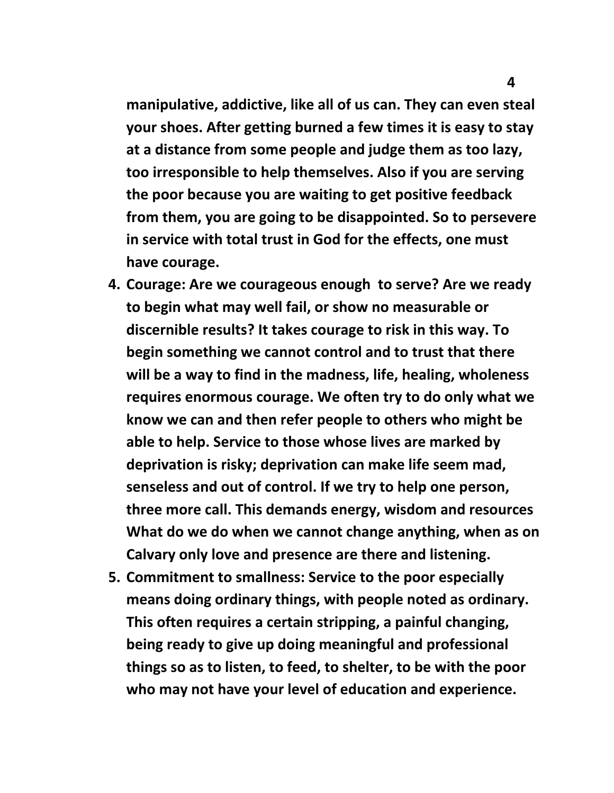**manipulative, addictive, like all of us can. They can even steal your shoes. After getting burned a few times it is easy to stay at a distance from some people and judge them as too lazy, too irresponsible to help themselves. Also if you are serving the poor because you are waiting to get positive feedback from them, you are going to be disappointed. So to persevere in service with total trust in God for the effects, one must have courage.**

- **4. Courage: Are we courageous enough to serve? Are we ready to begin what may well fail, or show no measurable or discernible results? It takes courage to risk in this way. To begin something we cannot control and to trust that there will be a way to find in the madness, life, healing, wholeness requires enormous courage. We often try to do only what we know we can and then refer people to others who might be able to help. Service to those whose lives are marked by deprivation is risky; deprivation can make life seem mad, senseless and out of control. If we try to help one person, three more call. This demands energy, wisdom and resources What do we do when we cannot change anything, when as on Calvary only love and presence are there and listening.**
- **5. Commitment to smallness: Service to the poor especially means doing ordinary things, with people noted as ordinary. This often requires a certain stripping, a painful changing, being ready to give up doing meaningful and professional things so as to listen, to feed, to shelter, to be with the poor who may not have your level of education and experience.**

 **4**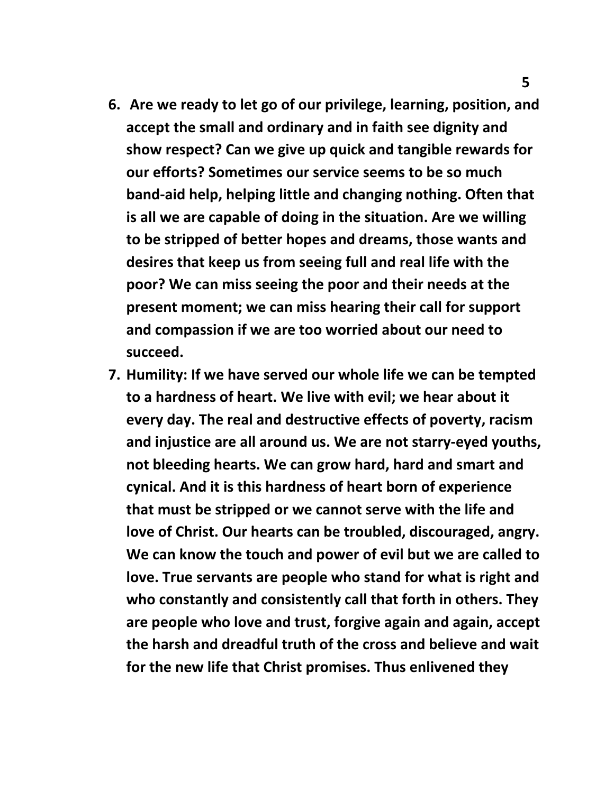- **6. Are we ready to let go of our privilege, learning, position, and accept the small and ordinary and in faith see dignity and show respect? Can we give up quick and tangible rewards for our efforts? Sometimes our service seems to be so much band‐aid help, helping little and changing nothing. Often that is all we are capable of doing in the situation. Are we willing to be stripped of better hopes and dreams, those wants and desires that keep us from seeing full and real life with the poor? We can miss seeing the poor and their needs at the present moment; we can miss hearing their call for support and compassion if we are too worried about our need to succeed.**
- **7. Humility: If we have served our whole life we can be tempted to a hardness of heart. We live with evil; we hear about it every day. The real and destructive effects of poverty, racism and injustice are all around us. We are not starry‐eyed youths, not bleeding hearts. We can grow hard, hard and smart and cynical. And it is this hardness of heart born of experience that must be stripped or we cannot serve with the life and love of Christ. Our hearts can be troubled, discouraged, angry. We can know the touch and power of evil but we are called to love. True servants are people who stand for what is right and who constantly and consistently call that forth in others. They are people who love and trust, forgive again and again, accept the harsh and dreadful truth of the cross and believe and wait for the new life that Christ promises. Thus enlivened they**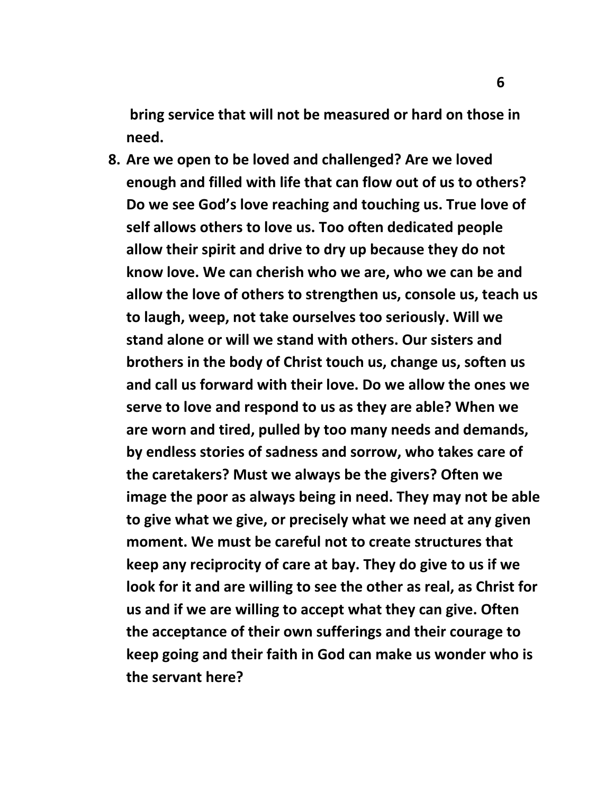**bring service that will not be measured or hard on those in need.**

**8. Are we open to be loved and challenged? Are we loved enough and filled with life that can flow out of us to others? Do we see God's love reaching and touching us. True love of self allows others to love us. Too often dedicated people allow their spirit and drive to dry up because they do not know love. We can cherish who we are, who we can be and allow the love of others to strengthen us, console us, teach us to laugh, weep, not take ourselves too seriously. Will we stand alone or will we stand with others. Our sisters and brothers in the body of Christ touch us, change us, soften us and call us forward with their love. Do we allow the ones we serve to love and respond to us as they are able? When we are worn and tired, pulled by too many needs and demands, by endless stories of sadness and sorrow, who takes care of the caretakers? Must we always be the givers? Often we image the poor as always being in need. They may not be able to give what we give, or precisely what we need at any given moment. We must be careful not to create structures that keep any reciprocity of care at bay. They do give to us if we look for it and are willing to see the other as real, as Christ for us and if we are willing to accept what they can give. Often the acceptance of their own sufferings and their courage to keep going and their faith in God can make us wonder who is the servant here?**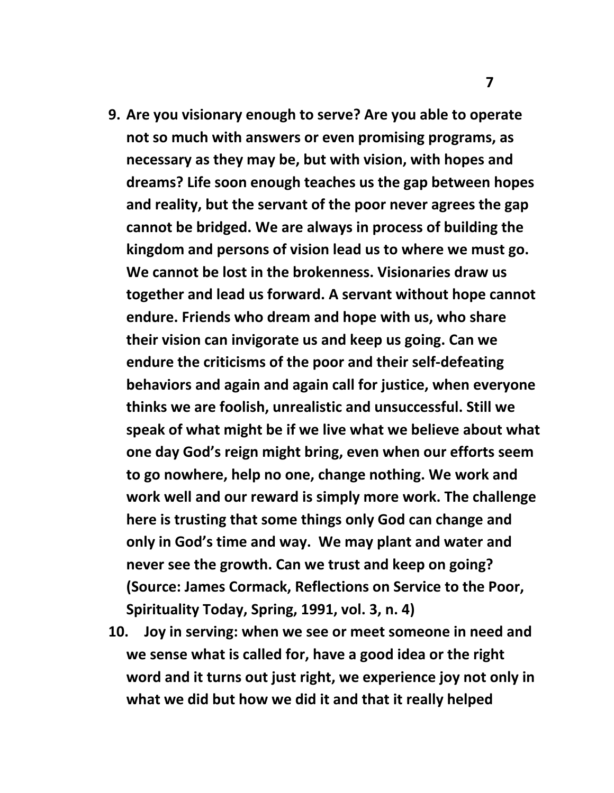- **9. Are you visionary enough to serve? Are you able to operate not so much with answers or even promising programs, as necessary as they may be, but with vision, with hopes and dreams? Life soon enough teaches us the gap between hopes and reality, but the servant of the poor never agrees the gap cannot be bridged. We are always in process of building the kingdom and persons of vision lead us to where we must go. We cannot be lost in the brokenness. Visionaries draw us together and lead us forward. A servant without hope cannot endure. Friends who dream and hope with us, who share their vision can invigorate us and keep us going. Can we endure the criticisms of the poor and their self‐defeating behaviors and again and again call for justice, when everyone thinks we are foolish, unrealistic and unsuccessful. Still we speak of what might be if we live what we believe about what one day God's reign might bring, even when our efforts seem to go nowhere, help no one, change nothing. We work and work well and our reward is simply more work. The challenge here is trusting that some things only God can change and only in God's time and way. We may plant and water and never see the growth. Can we trust and keep on going? (Source: James Cormack, Reflections on Service to the Poor, Spirituality Today, Spring, 1991, vol. 3, n. 4)**
- **10. Joy in serving: when we see or meet someone in need and we sense what is called for, have a good idea or the right word and it turns out just right, we experience joy not only in what we did but how we did it and that it really helped**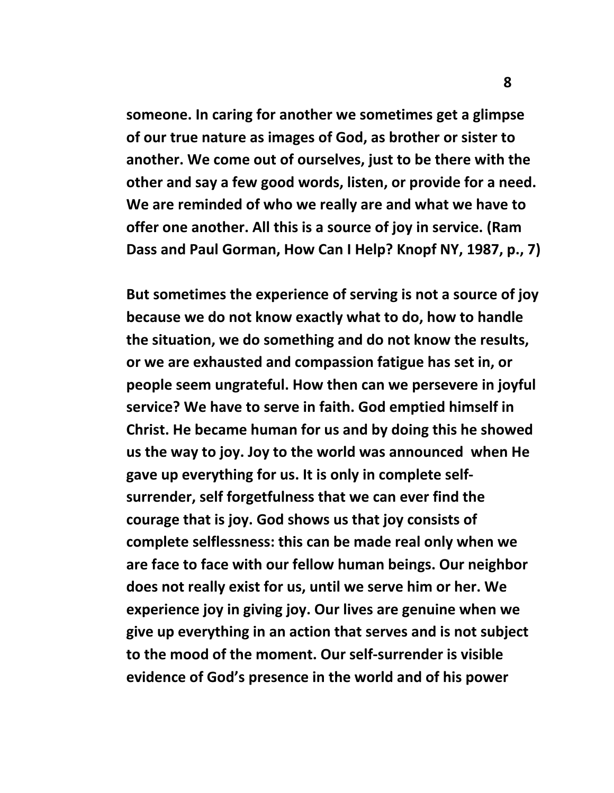**someone. In caring for another we sometimes get a glimpse of our true nature as images of God, as brother or sister to another. We come out of ourselves, just to be there with the other and say a few good words, listen, or provide for a need. We are reminded of who we really are and what we have to offer one another. All this is a source of joy in service. (Ram Dass and Paul Gorman, How Can I Help? Knopf NY, 1987, p., 7)**

**But sometimes the experience of serving is not a source of joy because we do not know exactly what to do, how to handle the situation, we do something and do not know the results, or we are exhausted and compassion fatigue has set in, or people seem ungrateful. How then can we persevere in joyful service? We have to serve in faith. God emptied himself in Christ. He became human for us and by doing this he showed us the way to joy. Joy to the world was announced when He gave up everything for us. It is only in complete self‐ surrender, self forgetfulness that we can ever find the courage that is joy. God shows us that joy consists of complete selflessness: this can be made real only when we are face to face with our fellow human beings. Our neighbor does not really exist for us, until we serve him or her. We experience joy in giving joy. Our lives are genuine when we give up everything in an action that serves and is not subject to the mood of the moment. Our self‐surrender is visible evidence of God's presence in the world and of his power**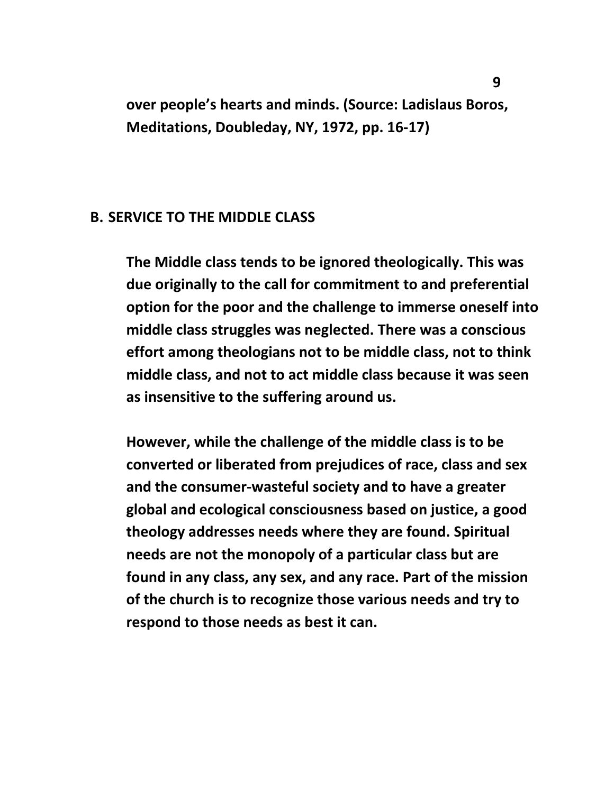**over people's hearts and minds. (Source: Ladislaus Boros, Meditations, Doubleday, NY, 1972, pp. 16‐17)**

## **B. SERVICE TO THE MIDDLE CLASS**

**The Middle class tends to be ignored theologically. This was due originally to the call for commitment to and preferential option for the poor and the challenge to immerse oneself into middle class struggles was neglected. There was a conscious effort among theologians not to be middle class, not to think middle class, and not to act middle class because it was seen as insensitive to the suffering around us.** 

**However, while the challenge of the middle class is to be converted or liberated from prejudices of race, class and sex and the consumer‐wasteful society and to have a greater global and ecological consciousness based on justice, a good theology addresses needs where they are found. Spiritual needs are not the monopoly of a particular class but are found in any class, any sex, and any race. Part of the mission of the church is to recognize those various needs and try to respond to those needs as best it can.**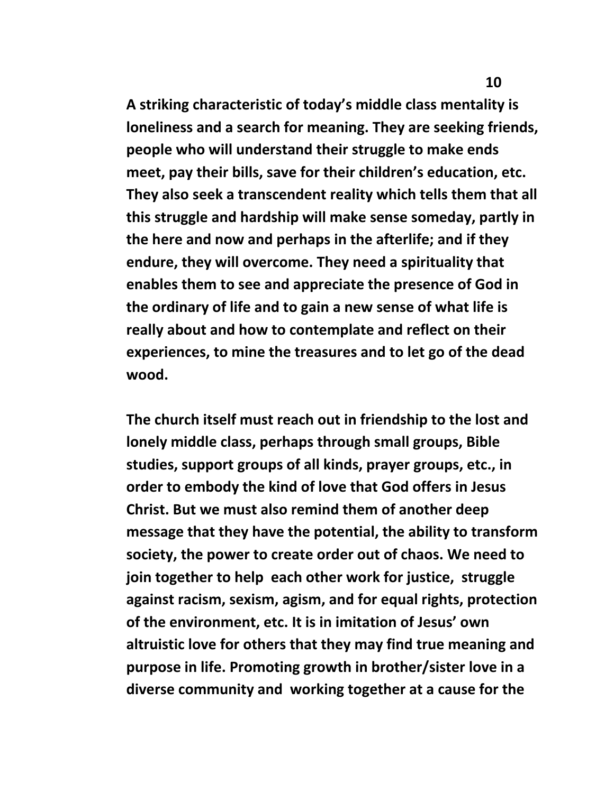**A striking characteristic of today's middle class mentality is loneliness and a search for meaning. They are seeking friends, people who will understand their struggle to make ends meet, pay their bills, save for their children's education, etc. They also seek a transcendent reality which tells them that all this struggle and hardship will make sense someday, partly in the here and now and perhaps in the afterlife; and if they endure, they will overcome. They need a spirituality that enables them to see and appreciate the presence of God in the ordinary of life and to gain a new sense of what life is really about and how to contemplate and reflect on their experiences, to mine the treasures and to let go of the dead wood.** 

**The church itself must reach out in friendship to the lost and lonely middle class, perhaps through small groups, Bible studies, support groups of all kinds, prayer groups, etc., in order to embody the kind of love that God offers in Jesus Christ. But we must also remind them of another deep message that they have the potential, the ability to transform society, the power to create order out of chaos. We need to join together to help each other work for justice, struggle against racism, sexism, agism, and for equal rights, protection of the environment, etc. It is in imitation of Jesus' own altruistic love for others that they may find true meaning and purpose in life. Promoting growth in brother/sister love in a diverse community and working together at a cause for the**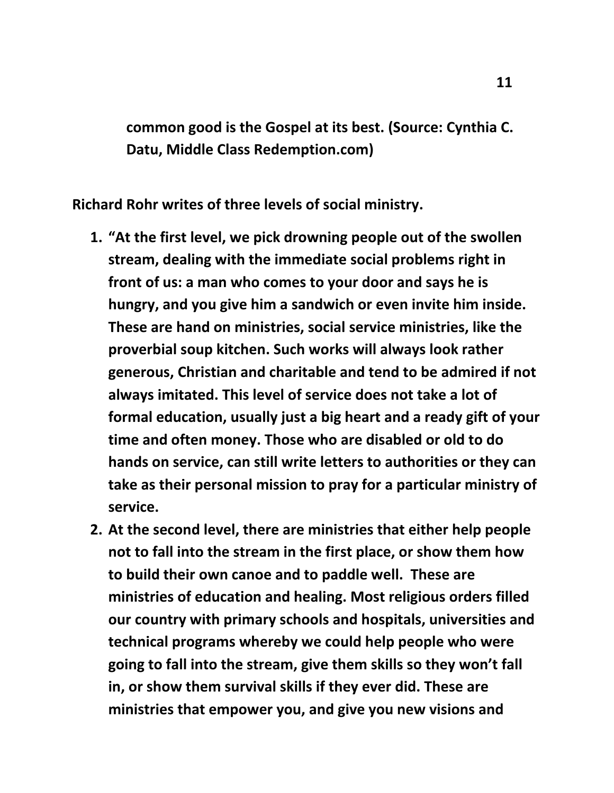**common good is the Gospel at its best. (Source: Cynthia C. Datu, Middle Class Redemption.com)**

**Richard Rohr writes of three levels of social ministry.** 

- **1. "At the first level, we pick drowning people out of the swollen stream, dealing with the immediate social problems right in front of us: a man who comes to your door and says he is hungry, and you give him a sandwich or even invite him inside. These are hand on ministries, social service ministries, like the proverbial soup kitchen. Such works will always look rather generous, Christian and charitable and tend to be admired if not always imitated. This level of service does not take a lot of formal education, usually just a big heart and a ready gift of your time and often money. Those who are disabled or old to do hands on service, can still write letters to authorities or they can take as their personal mission to pray for a particular ministry of service.**
- **2. At the second level, there are ministries that either help people not to fall into the stream in the first place, or show them how to build their own canoe and to paddle well. These are ministries of education and healing. Most religious orders filled our country with primary schools and hospitals, universities and technical programs whereby we could help people who were going to fall into the stream, give them skills so they won't fall in, or show them survival skills if they ever did. These are ministries that empower you, and give you new visions and**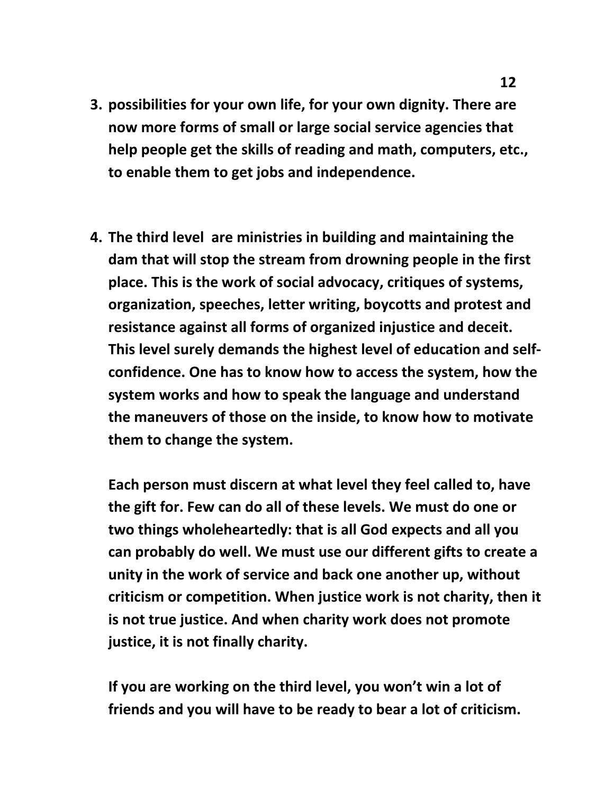- **3. possibilities for your own life, for your own dignity. There are now more forms of small or large social service agencies that help people get the skills of reading and math, computers, etc., to enable them to get jobs and independence.**
- **4. The third level are ministries in building and maintaining the dam that will stop the stream from drowning people in the first place. This is the work of social advocacy, critiques of systems, organization, speeches, letter writing, boycotts and protest and resistance against all forms of organized injustice and deceit. This level surely demands the highest level of education and self‐ confidence. One has to know how to access the system, how the system works and how to speak the language and understand the maneuvers of those on the inside, to know how to motivate them to change the system.**

**Each person must discern at what level they feel called to, have the gift for. Few can do all of these levels. We must do one or two things wholeheartedly: that is all God expects and all you can probably do well. We must use our different gifts to create a unity in the work of service and back one another up, without criticism or competition. When justice work is not charity, then it is not true justice. And when charity work does not promote justice, it is not finally charity.**

**If you are working on the third level, you won't win a lot of friends and you will have to be ready to bear a lot of criticism.**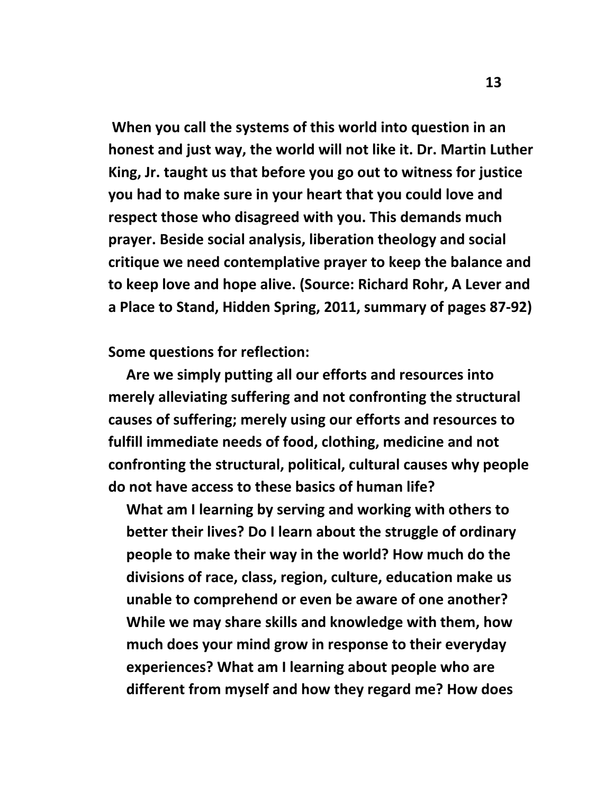**When you call the systems of this world into question in an honest and just way, the world will not like it. Dr. Martin Luther King, Jr. taught us that before you go out to witness for justice you had to make sure in your heart that you could love and respect those who disagreed with you. This demands much prayer. Beside social analysis, liberation theology and social critique we need contemplative prayer to keep the balance and to keep love and hope alive. (Source: Richard Rohr, A Lever and a Place to Stand, Hidden Spring, 2011, summary of pages 87‐92)**

**Some questions for reflection:**

 **Are we simply putting all our efforts and resources into merely alleviating suffering and not confronting the structural causes of suffering; merely using our efforts and resources to fulfill immediate needs of food, clothing, medicine and not confronting the structural, political, cultural causes why people do not have access to these basics of human life?**

**What am I learning by serving and working with others to better their lives? Do I learn about the struggle of ordinary people to make their way in the world? How much do the divisions of race, class, region, culture, education make us unable to comprehend or even be aware of one another? While we may share skills and knowledge with them, how much does your mind grow in response to their everyday experiences? What am I learning about people who are different from myself and how they regard me? How does**